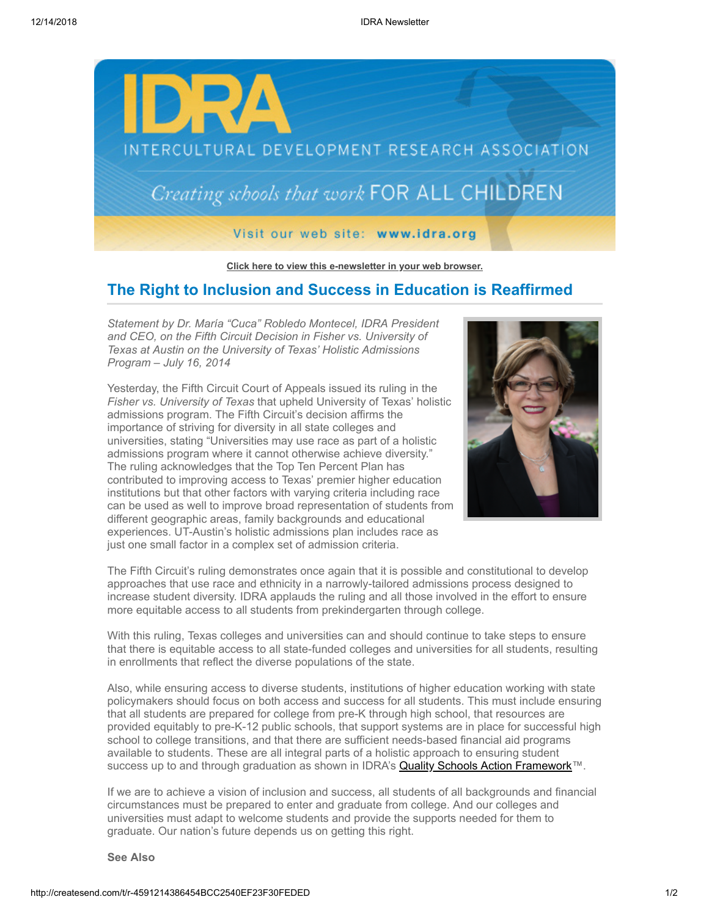

**[Click here to view this e-newsletter in your web browser.](http://newsletter.impulsedevelopment.com/t/r-e-mxulid-l-r/)**

## **The Right to Inclusion and Success in Education is Reaffirmed**

*Statement by Dr. María "Cuca" Robledo Montecel, IDRA President and CEO, on the Fifth Circuit Decision in Fisher vs. University of Texas at Austin on the University of Texas' Holistic Admissions Program – July 16, 2014*

Yesterday, the Fifth Circuit Court of Appeals issued its ruling in the *Fisher vs. University of Texas* that upheld University of Texas' holistic admissions program. The Fifth Circuit's decision affirms the importance of striving for diversity in all state colleges and universities, stating "Universities may use race as part of a holistic admissions program where it cannot otherwise achieve diversity." The ruling acknowledges that the Top Ten Percent Plan has contributed to improving access to Texas' premier higher education institutions but that other factors with varying criteria including race can be used as well to improve broad representation of students from different geographic areas, family backgrounds and educational experiences. UT-Austin's holistic admissions plan includes race as just one small factor in a complex set of admission criteria.



The Fifth Circuit's ruling demonstrates once again that it is possible and constitutional to develop approaches that use race and ethnicity in a narrowly-tailored admissions process designed to increase student diversity. IDRA applauds the ruling and all those involved in the effort to ensure more equitable access to all students from prekindergarten through college.

With this ruling, Texas colleges and universities can and should continue to take steps to ensure that there is equitable access to all state-funded colleges and universities for all students, resulting in enrollments that reflect the diverse populations of the state.

Also, while ensuring access to diverse students, institutions of higher education working with state policymakers should focus on both access and success for all students. This must include ensuring that all students are prepared for college from pre-K through high school, that resources are provided equitably to pre-K-12 public schools, that support systems are in place for successful high school to college transitions, and that there are sufficient needs-based financial aid programs available to students. These are all integral parts of a holistic approach to ensuring student success up to and through graduation as shown in IDRA's Quality Schools Action Framework<sup>™</sup>.

If we are to achieve a vision of inclusion and success, all students of all backgrounds and financial circumstances must be prepared to enter and graduate from college. And our colleges and universities must adapt to welcome students and provide the supports needed for them to graduate. Our nation's future depends us on getting this right.

## **See Also**